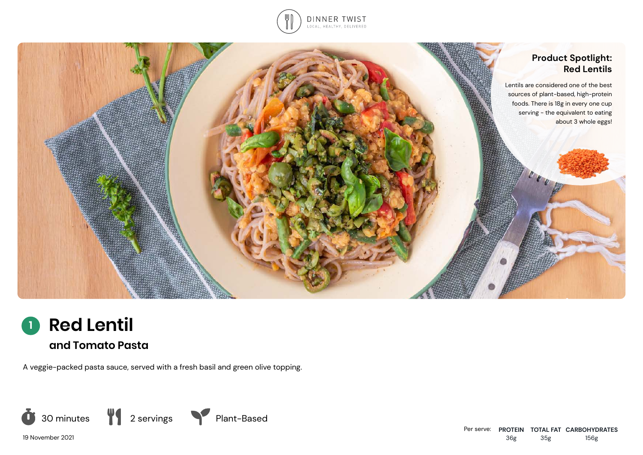





A veggie-packed pasta sauce, served with a fresh basil and green olive topping.



19 November 2021